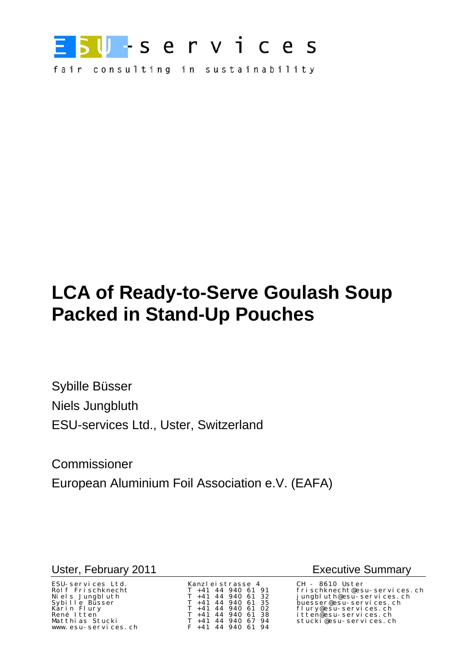

fair consulting in sustainability

# **LCA of Ready-to-Serve Goulash Soup Packed in Stand-Up Pouches**

Sybille Büsser Niels Jungbluth ESU-services Ltd., Uster, Switzerland

Commissioner European Aluminium Foil Association e.V. (EAFA)

### Uster, February 2011 **Executive Summary**

| ESU-services Ltd.   | Kanzleistrasse 4      | CH - 8610 Uster  |
|---------------------|-----------------------|------------------|
| Rolf Frischknecht   | $T + 41$ 44 940 61 91 | frischknecht@esi |
| Niels Jungbluth     | $T + 41$ 44 940 61 32 | jungbluth@esu-s  |
| Sybille Büsser      | $T + 41$ 44 940 61 35 | buesser@esu-ser  |
| Karin Flury         | $T + 41$ 44 940 61 02 | flury@esu-servi  |
| René Itten          | $T + 41$ 44 940 61 38 | itten@esu–servi  |
| Matthias Stucki     | T +41 44 940 67 94    | stucki@esu-serv  |
| www.esu-services.ch | $F$ +41 44 940 61 94  |                  |

Rolf Frischknecht T +41 44 940 61 91 frischknecht@esu-services.ch Niels Jungbluth T +41 44 940 61 32 jungbluth@esu-services.ch Sybille Büsser T +41 44 940 61 35 buesser@esu-services.ch flury@esu-services.ch René Itten T +41 44 940 61 38 itten@esu-services.ch Matthias Stucki T +41 44 940 67 94 stucki@esu-services.ch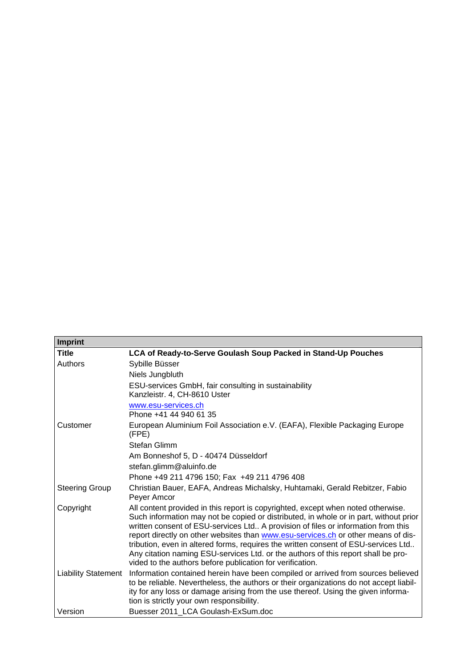| <b>Imprint</b>             |                                                                                                                                                                                                                                                                                                                                                                                                                                                                                                                                                                                             |
|----------------------------|---------------------------------------------------------------------------------------------------------------------------------------------------------------------------------------------------------------------------------------------------------------------------------------------------------------------------------------------------------------------------------------------------------------------------------------------------------------------------------------------------------------------------------------------------------------------------------------------|
| <b>Title</b>               | LCA of Ready-to-Serve Goulash Soup Packed in Stand-Up Pouches                                                                                                                                                                                                                                                                                                                                                                                                                                                                                                                               |
| Authors                    | Sybille Büsser                                                                                                                                                                                                                                                                                                                                                                                                                                                                                                                                                                              |
|                            | Niels Jungbluth                                                                                                                                                                                                                                                                                                                                                                                                                                                                                                                                                                             |
|                            | ESU-services GmbH, fair consulting in sustainability<br>Kanzleistr. 4, CH-8610 Uster                                                                                                                                                                                                                                                                                                                                                                                                                                                                                                        |
|                            | www.esu-services.ch<br>Phone +41 44 940 61 35                                                                                                                                                                                                                                                                                                                                                                                                                                                                                                                                               |
| Customer                   | European Aluminium Foil Association e.V. (EAFA), Flexible Packaging Europe<br>(FPE)                                                                                                                                                                                                                                                                                                                                                                                                                                                                                                         |
|                            | Stefan Glimm                                                                                                                                                                                                                                                                                                                                                                                                                                                                                                                                                                                |
|                            | Am Bonneshof 5, D - 40474 Düsseldorf                                                                                                                                                                                                                                                                                                                                                                                                                                                                                                                                                        |
|                            | stefan.glimm@aluinfo.de                                                                                                                                                                                                                                                                                                                                                                                                                                                                                                                                                                     |
|                            | Phone +49 211 4796 150; Fax +49 211 4796 408                                                                                                                                                                                                                                                                                                                                                                                                                                                                                                                                                |
| <b>Steering Group</b>      | Christian Bauer, EAFA, Andreas Michalsky, Huhtamaki, Gerald Rebitzer, Fabio<br>Peyer Amcor                                                                                                                                                                                                                                                                                                                                                                                                                                                                                                  |
| Copyright                  | All content provided in this report is copyrighted, except when noted otherwise.<br>Such information may not be copied or distributed, in whole or in part, without prior<br>written consent of ESU-services Ltd A provision of files or information from this<br>report directly on other websites than www.esu-services.ch or other means of dis-<br>tribution, even in altered forms, requires the written consent of ESU-services Ltd<br>Any citation naming ESU-services Ltd. or the authors of this report shall be pro-<br>vided to the authors before publication for verification. |
| <b>Liability Statement</b> | Information contained herein have been compiled or arrived from sources believed<br>to be reliable. Nevertheless, the authors or their organizations do not accept liabil-<br>ity for any loss or damage arising from the use thereof. Using the given informa-<br>tion is strictly your own responsibility.                                                                                                                                                                                                                                                                                |
| Version                    | Buesser 2011 LCA Goulash-ExSum.doc                                                                                                                                                                                                                                                                                                                                                                                                                                                                                                                                                          |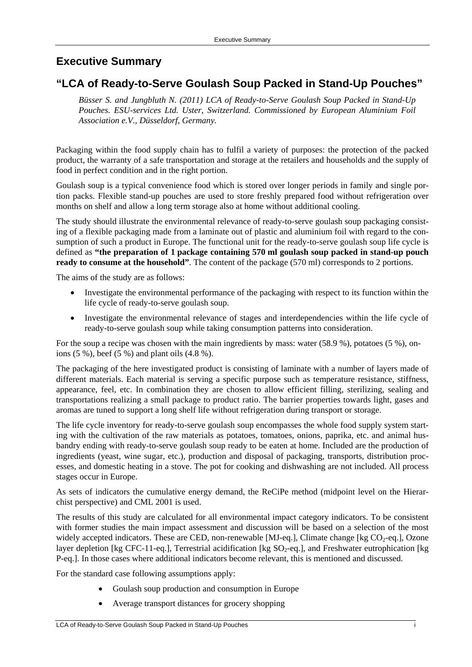## **Executive Summary**

## **"LCA of Ready-to-Serve Goulash Soup Packed in Stand-Up Pouches"**

*Büsser S. and Jungbluth N. (2011) LCA of Ready-to-Serve Goulash Soup Packed in Stand-Up Pouches. ESU-services Ltd. Uster, Switzerland. Commissioned by European Aluminium Foil Association e.V., Düsseldorf, Germany.* 

Packaging within the food supply chain has to fulfil a variety of purposes: the protection of the packed product, the warranty of a safe transportation and storage at the retailers and households and the supply of food in perfect condition and in the right portion.

Goulash soup is a typical convenience food which is stored over longer periods in family and single portion packs. Flexible stand-up pouches are used to store freshly prepared food without refrigeration over months on shelf and allow a long term storage also at home without additional cooling.

The study should illustrate the environmental relevance of ready-to-serve goulash soup packaging consisting of a flexible packaging made from a laminate out of plastic and aluminium foil with regard to the consumption of such a product in Europe. The functional unit for the ready-to-serve goulash soup life cycle is defined as **"the preparation of 1 package containing 570 ml goulash soup packed in stand-up pouch ready to consume at the household"**. The content of the package (570 ml) corresponds to 2 portions.

The aims of the study are as follows:

- Investigate the environmental performance of the packaging with respect to its function within the life cycle of ready-to-serve goulash soup.
- Investigate the environmental relevance of stages and interdependencies within the life cycle of ready-to-serve goulash soup while taking consumption patterns into consideration.

For the soup a recipe was chosen with the main ingredients by mass: water (58.9 %), potatoes (5 %), onions (5 %), beef (5 %) and plant oils (4.8 %).

The packaging of the here investigated product is consisting of laminate with a number of layers made of different materials. Each material is serving a specific purpose such as temperature resistance, stiffness, appearance, feel, etc. In combination they are chosen to allow efficient filling, sterilizing, sealing and transportations realizing a small package to product ratio. The barrier properties towards light, gases and aromas are tuned to support a long shelf life without refrigeration during transport or storage.

The life cycle inventory for ready-to-serve goulash soup encompasses the whole food supply system starting with the cultivation of the raw materials as potatoes, tomatoes, onions, paprika, etc. and animal husbandry ending with ready-to-serve goulash soup ready to be eaten at home. Included are the production of ingredients (yeast, wine sugar, etc.), production and disposal of packaging, transports, distribution processes, and domestic heating in a stove. The pot for cooking and dishwashing are not included. All process stages occur in Europe.

As sets of indicators the cumulative energy demand, the ReCiPe method (midpoint level on the Hierarchist perspective) and CML 2001 is used.

The results of this study are calculated for all environmental impact category indicators. To be consistent with former studies the main impact assessment and discussion will be based on a selection of the most widely accepted indicators. These are CED, non-renewable [MJ-eq.], Climate change [kg  $CO<sub>2</sub>$ -eq.], Ozone layer depletion [kg CFC-11-eq.], Terrestrial acidification [kg SO<sub>2</sub>-eq.], and Freshwater eutrophication [kg P-eq.]. In those cases where additional indicators become relevant, this is mentioned and discussed.

For the standard case following assumptions apply:

- Goulash soup production and consumption in Europe
- Average transport distances for grocery shopping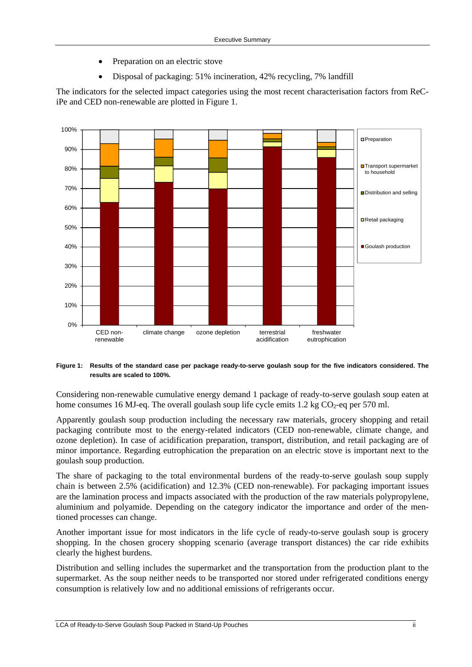- Preparation on an electric stove
- Disposal of packaging: 51% incineration, 42% recycling, 7% landfill

The indicators for the selected impact categories using the most recent characterisation factors from ReCiPe and CED non-renewable are plotted in [Figure 1](#page-3-0).



#### <span id="page-3-0"></span>**Figure 1: Results of the standard case per package ready-to-serve goulash soup for the five indicators considered. The results are scaled to 100%.**

Considering non-renewable cumulative energy demand 1 package of ready-to-serve goulash soup eaten at home consumes 16 MJ-eq. The overall goulash soup life cycle emits 1.2 kg  $CO<sub>2</sub>$ -eq per 570 ml.

Apparently goulash soup production including the necessary raw materials, grocery shopping and retail packaging contribute most to the energy-related indicators (CED non-renewable, climate change, and ozone depletion). In case of acidification preparation, transport, distribution, and retail packaging are of minor importance. Regarding eutrophication the preparation on an electric stove is important next to the goulash soup production.

The share of packaging to the total environmental burdens of the ready-to-serve goulash soup supply chain is between 2.5% (acidification) and 12.3% (CED non-renewable). For packaging important issues are the lamination process and impacts associated with the production of the raw materials polypropylene, aluminium and polyamide. Depending on the category indicator the importance and order of the mentioned processes can change.

Another important issue for most indicators in the life cycle of ready-to-serve goulash soup is grocery shopping. In the chosen grocery shopping scenario (average transport distances) the car ride exhibits clearly the highest burdens.

Distribution and selling includes the supermarket and the transportation from the production plant to the supermarket. As the soup neither needs to be transported nor stored under refrigerated conditions energy consumption is relatively low and no additional emissions of refrigerants occur.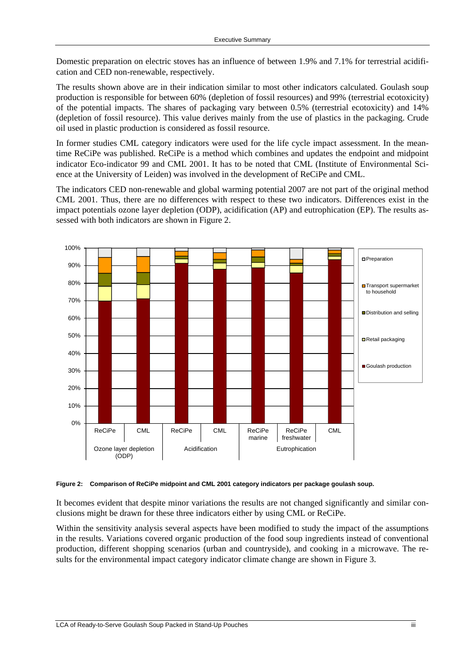Domestic preparation on electric stoves has an influence of between 1.9% and 7.1% for terrestrial acidification and CED non-renewable, respectively.

The results shown above are in their indication similar to most other indicators calculated. Goulash soup production is responsible for between 60% (depletion of fossil resources) and 99% (terrestrial ecotoxicity) of the potential impacts. The shares of packaging vary between 0.5% (terrestrial ecotoxicity) and 14% (depletion of fossil resource). This value derives mainly from the use of plastics in the packaging. Crude oil used in plastic production is considered as fossil resource.

In former studies CML category indicators were used for the life cycle impact assessment. In the meantime ReCiPe was published. ReCiPe is a method which combines and updates the endpoint and midpoint indicator Eco-indicator 99 and CML 2001. It has to be noted that CML (Institute of Environmental Science at the University of Leiden) was involved in the development of ReCiPe and CML.

The indicators CED non-renewable and global warming potential 2007 are not part of the original method CML 2001. Thus, there are no differences with respect to these two indicators. Differences exist in the impact potentials ozone layer depletion (ODP), acidification (AP) and eutrophication (EP). The results assessed with both indicators are shown in [Figure 2](#page-4-0).



<span id="page-4-0"></span>**Figure 2: Comparison of ReCiPe midpoint and CML 2001 category indicators per package goulash soup.** 

It becomes evident that despite minor variations the results are not changed significantly and similar conclusions might be drawn for these three indicators either by using CML or ReCiPe.

Within the sensitivity analysis several aspects have been modified to study the impact of the assumptions in the results. Variations covered organic production of the food soup ingredients instead of conventional production, different shopping scenarios (urban and countryside), and cooking in a microwave. The results for the environmental impact category indicator climate change are shown in [Figure 3.](#page-5-0)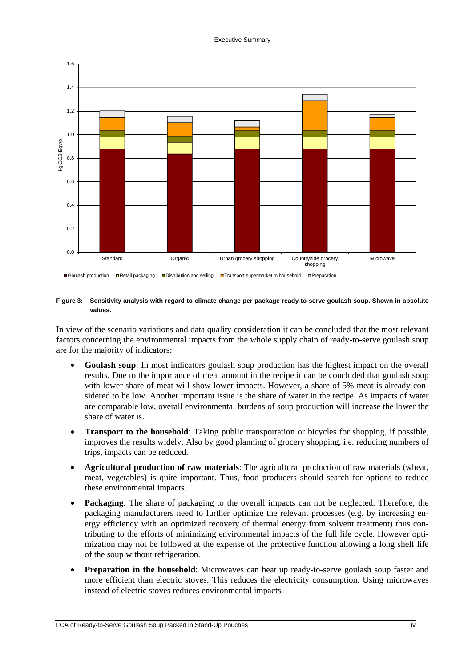

■Goulash production □Retail packaging ■Distribution and selling ■Transport supermarket to household □Preparation

#### <span id="page-5-0"></span>**Figure 3: Sensitivity analysis with regard to climate change per package ready-to-serve goulash soup. Shown in absolute values.**

In view of the scenario variations and data quality consideration it can be concluded that the most relevant factors concerning the environmental impacts from the whole supply chain of ready-to-serve goulash soup are for the majority of indicators:

- **Goulash soup**: In most indicators goulash soup production has the highest impact on the overall results. Due to the importance of meat amount in the recipe it can be concluded that goulash soup with lower share of meat will show lower impacts. However, a share of 5% meat is already considered to be low. Another important issue is the share of water in the recipe. As impacts of water are comparable low, overall environmental burdens of soup production will increase the lower the share of water is.
- **Transport to the household**: Taking public transportation or bicycles for shopping, if possible, improves the results widely. Also by good planning of grocery shopping, i.e. reducing numbers of trips, impacts can be reduced.
- **Agricultural production of raw materials**: The agricultural production of raw materials (wheat, meat, vegetables) is quite important. Thus, food producers should search for options to reduce these environmental impacts.
- **Packaging**: The share of packaging to the overall impacts can not be neglected. Therefore, the packaging manufacturers need to further optimize the relevant processes (e.g. by increasing energy efficiency with an optimized recovery of thermal energy from solvent treatment) thus contributing to the efforts of minimizing environmental impacts of the full life cycle. However optimization may not be followed at the expense of the protective function allowing a long shelf life of the soup without refrigeration.
- **Preparation in the household:** Microwaves can heat up ready-to-serve goulash soup faster and more efficient than electric stoves. This reduces the electricity consumption. Using microwaves instead of electric stoves reduces environmental impacts.